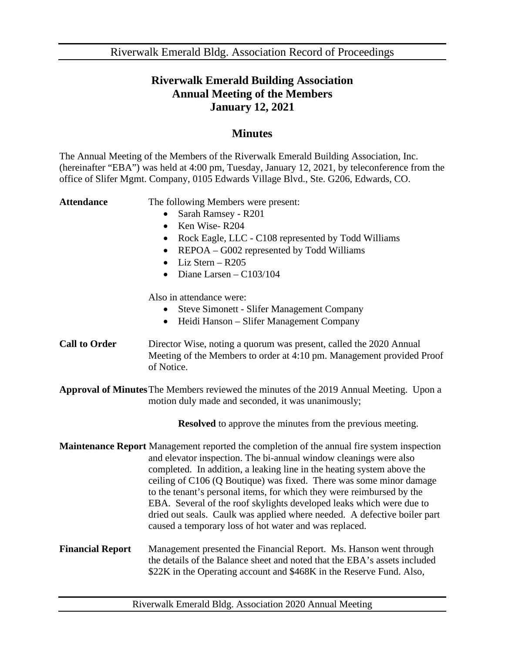Riverwalk Emerald Bldg. Association Record of Proceedings

## **Riverwalk Emerald Building Association Annual Meeting of the Members January 12, 2021**

## **Minutes**

The Annual Meeting of the Members of the Riverwalk Emerald Building Association, Inc. (hereinafter "EBA") was held at 4:00 pm, Tuesday, January 12, 2021, by teleconference from the office of Slifer Mgmt. Company, 0105 Edwards Village Blvd., Ste. G206, Edwards, CO.

Attendance The following Members were present:

- Sarah Ramsey R201
- Ken Wise-R204
- Rock Eagle, LLC C108 represented by Todd Williams
- REPOA G002 represented by Todd Williams
- Liz Stern R205
- Diane Larsen  $C103/104$

Also in attendance were:

- Steve Simonett Slifer Management Company
- Heidi Hanson Slifer Management Company
- **Call to Order** Director Wise, noting a quorum was present, called the 2020 Annual Meeting of the Members to order at 4:10 pm. Management provided Proof of Notice.
- **Approval of Minutes**The Members reviewed the minutes of the 2019 Annual Meeting. Upon a motion duly made and seconded, it was unanimously;

**Resolved** to approve the minutes from the previous meeting.

- **Maintenance Report** Management reported the completion of the annual fire system inspection and elevator inspection. The bi-annual window cleanings were also completed. In addition, a leaking line in the heating system above the ceiling of C106 (Q Boutique) was fixed. There was some minor damage to the tenant's personal items, for which they were reimbursed by the EBA. Several of the roof skylights developed leaks which were due to dried out seals. Caulk was applied where needed. A defective boiler part caused a temporary loss of hot water and was replaced.
- **Financial Report** Management presented the Financial Report. Ms. Hanson went through the details of the Balance sheet and noted that the EBA's assets included \$22K in the Operating account and \$468K in the Reserve Fund. Also,

Riverwalk Emerald Bldg. Association 2020 Annual Meeting